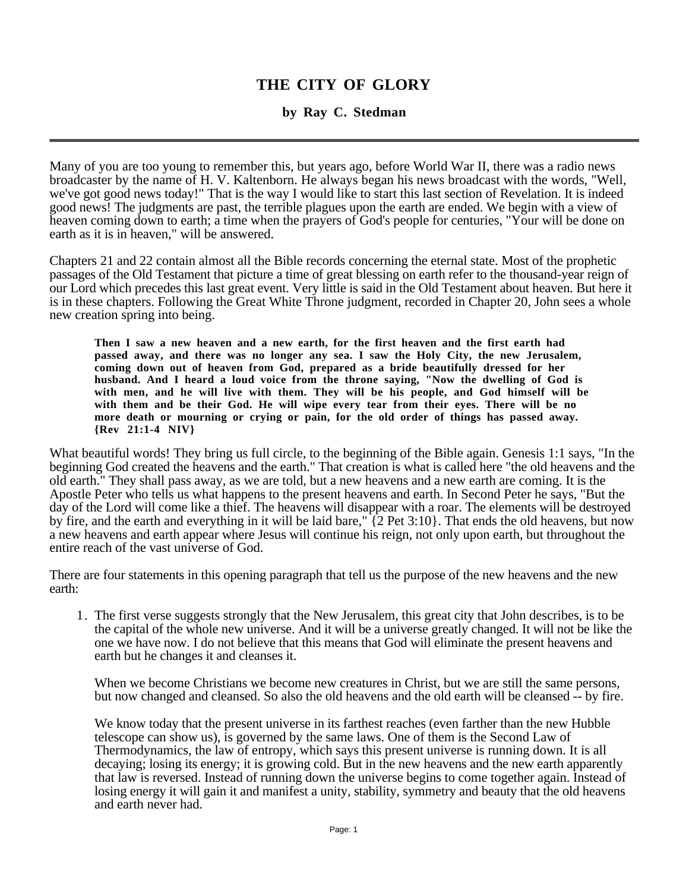## **THE CITY OF GLORY**

## **by Ray C. Stedman**

Many of you are too young to remember this, but years ago, before World War II, there was a radio news broadcaster by the name of H. V. Kaltenborn. He always began his news broadcast with the words, "Well, we've got good news today!" That is the way I would like to start this last section of Revelation. It is indeed good news! The judgments are past, the terrible plagues upon the earth are ended. We begin with a view of heaven coming down to earth; a time when the prayers of God's people for centuries, "Your will be done on earth as it is in heaven," will be answered.

Chapters 21 and 22 contain almost all the Bible records concerning the eternal state. Most of the prophetic passages of the Old Testament that picture a time of great blessing on earth refer to the thousand-year reign of our Lord which precedes this last great event. Very little is said in the Old Testament about heaven. But here it is in these chapters. Following the Great White Throne judgment, recorded in Chapter 20, John sees a whole new creation spring into being.

**Then I saw a new heaven and a new earth, for the first heaven and the first earth had passed away, and there was no longer any sea. I saw the Holy City, the new Jerusalem, coming down out of heaven from God, prepared as a bride beautifully dressed for her husband. And I heard a loud voice from the throne saying, "Now the dwelling of God is with men, and he will live with them. They will be his people, and God himself will be with them and be their God. He will wipe every tear from their eyes. There will be no more death or mourning or crying or pain, for the old order of things has passed away. {Rev 21:1-4 NIV}**

What beautiful words! They bring us full circle, to the beginning of the Bible again. Genesis 1:1 says, "In the beginning God created the heavens and the earth." That creation is what is called here "the old heavens and the old earth." They shall pass away, as we are told, but a new heavens and a new earth are coming. It is the Apostle Peter who tells us what happens to the present heavens and earth. In Second Peter he says, "But the day of the Lord will come like a thief. The heavens will disappear with a roar. The elements will be destroyed by fire, and the earth and everything in it will be laid bare," {2 Pet 3:10}. That ends the old heavens, but now a new heavens and earth appear where Jesus will continue his reign, not only upon earth, but throughout the entire reach of the vast universe of God.

There are four statements in this opening paragraph that tell us the purpose of the new heavens and the new earth:

1. The first verse suggests strongly that the New Jerusalem, this great city that John describes, is to be the capital of the whole new universe. And it will be a universe greatly changed. It will not be like the one we have now. I do not believe that this means that God will eliminate the present heavens and earth but he changes it and cleanses it.

When we become Christians we become new creatures in Christ, but we are still the same persons, but now changed and cleansed. So also the old heavens and the old earth will be cleansed -- by fire.

We know today that the present universe in its farthest reaches (even farther than the new Hubble telescope can show us), is governed by the same laws. One of them is the Second Law of Thermodynamics, the law of entropy, which says this present universe is running down. It is all decaying; losing its energy; it is growing cold. But in the new heavens and the new earth apparently that law is reversed. Instead of running down the universe begins to come together again. Instead of losing energy it will gain it and manifest a unity, stability, symmetry and beauty that the old heavens and earth never had.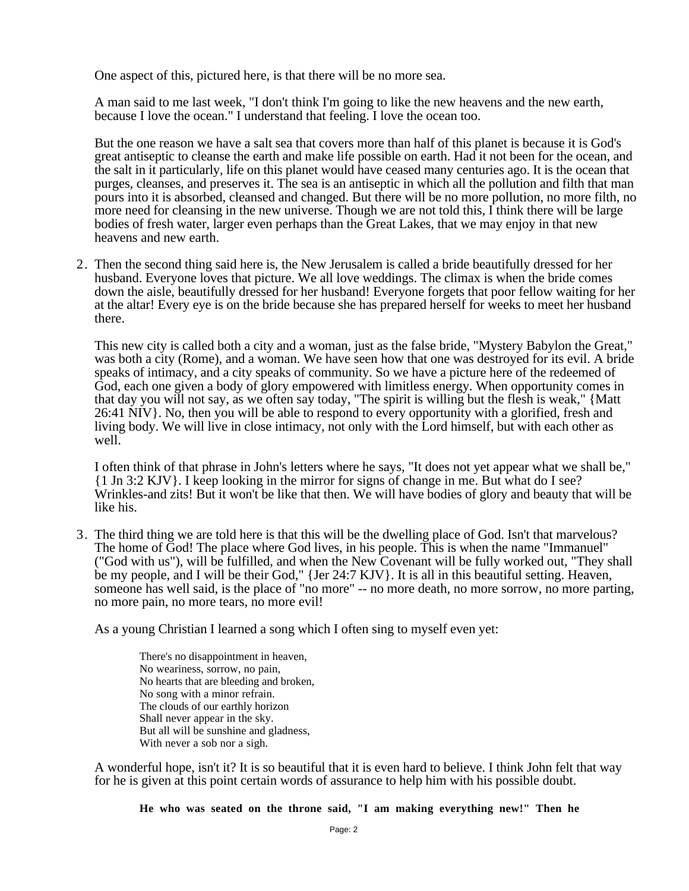One aspect of this, pictured here, is that there will be no more sea.

A man said to me last week, "I don't think I'm going to like the new heavens and the new earth, because I love the ocean." I understand that feeling. I love the ocean too.

But the one reason we have a salt sea that covers more than half of this planet is because it is God's great antiseptic to cleanse the earth and make life possible on earth. Had it not been for the ocean, and the salt in it particularly, life on this planet would have ceased many centuries ago. It is the ocean that purges, cleanses, and preserves it. The sea is an antiseptic in which all the pollution and filth that man pours into it is absorbed, cleansed and changed. But there will be no more pollution, no more filth, no more need for cleansing in the new universe. Though we are not told this, I think there will be large bodies of fresh water, larger even perhaps than the Great Lakes, that we may enjoy in that new heavens and new earth.

2. Then the second thing said here is, the New Jerusalem is called a bride beautifully dressed for her husband. Everyone loves that picture. We all love weddings. The climax is when the bride comes down the aisle, beautifully dressed for her husband! Everyone forgets that poor fellow waiting for her at the altar! Every eye is on the bride because she has prepared herself for weeks to meet her husband there.

This new city is called both a city and a woman, just as the false bride, "Mystery Babylon the Great," was both a city (Rome), and a woman. We have seen how that one was destroyed for its evil. A bride speaks of intimacy, and a city speaks of community. So we have a picture here of the redeemed of God, each one given a body of glory empowered with limitless energy. When opportunity comes in that day you will not say, as we often say today, "The spirit is willing but the flesh is weak," {Matt 26:41 NIV}. No, then you will be able to respond to every opportunity with a glorified, fresh and living body. We will live in close intimacy, not only with the Lord himself, but with each other as well.

I often think of that phrase in John's letters where he says, "It does not yet appear what we shall be," {1 Jn 3:2 KJV}. I keep looking in the mirror for signs of change in me. But what do I see? Wrinkles-and zits! But it won't be like that then. We will have bodies of glory and beauty that will be like his.

3. The third thing we are told here is that this will be the dwelling place of God. Isn't that marvelous? The home of God! The place where God lives, in his people. This is when the name "Immanuel" ("God with us"), will be fulfilled, and when the New Covenant will be fully worked out, "They shall be my people, and I will be their God," {Jer 24:7 KJV}. It is all in this beautiful setting. Heaven, someone has well said, is the place of "no more" -- no more death, no more sorrow, no more parting, no more pain, no more tears, no more evil!

As a young Christian I learned a song which I often sing to myself even yet:

There's no disappointment in heaven, No weariness, sorrow, no pain, No hearts that are bleeding and broken, No song with a minor refrain. The clouds of our earthly horizon Shall never appear in the sky. But all will be sunshine and gladness, With never a sob nor a sigh.

A wonderful hope, isn't it? It is so beautiful that it is even hard to believe. I think John felt that way for he is given at this point certain words of assurance to help him with his possible doubt.

**He who was seated on the throne said, "I am making everything new!" Then he**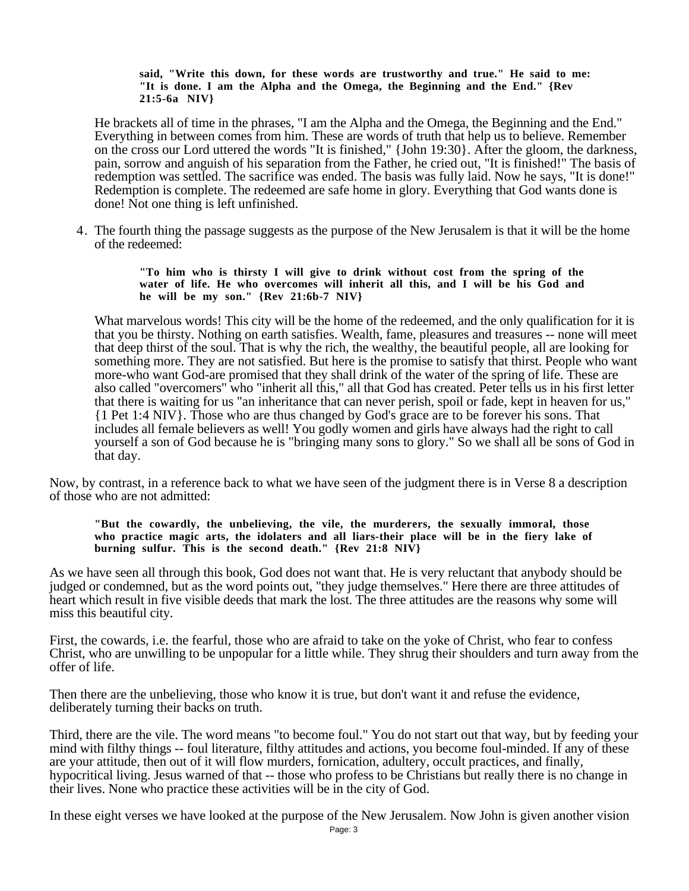## **said, "Write this down, for these words are trustworthy and true." He said to me: "It is done. I am the Alpha and the Omega, the Beginning and the End." {Rev 21:5-6a NIV}**

He brackets all of time in the phrases, "I am the Alpha and the Omega, the Beginning and the End." Everything in between comes from him. These are words of truth that help us to believe. Remember on the cross our Lord uttered the words "It is finished," {John 19:30}. After the gloom, the darkness, pain, sorrow and anguish of his separation from the Father, he cried out, "It is finished!" The basis of redemption was settled. The sacrifice was ended. The basis was fully laid. Now he says, "It is done!" Redemption is complete. The redeemed are safe home in glory. Everything that God wants done is done! Not one thing is left unfinished.

4. The fourth thing the passage suggests as the purpose of the New Jerusalem is that it will be the home of the redeemed:

> **"To him who is thirsty I will give to drink without cost from the spring of the water of life. He who overcomes will inherit all this, and I will be his God and he will be my son." {Rev 21:6b-7 NIV}**

What marvelous words! This city will be the home of the redeemed, and the only qualification for it is that you be thirsty. Nothing on earth satisfies. Wealth, fame, pleasures and treasures -- none will meet that deep thirst of the soul. That is why the rich, the wealthy, the beautiful people, all are looking for something more. They are not satisfied. But here is the promise to satisfy that thirst. People who want more-who want God-are promised that they shall drink of the water of the spring of life. These are also called "overcomers" who "inherit all this," all that God has created. Peter tells us in his first letter that there is waiting for us "an inheritance that can never perish, spoil or fade, kept in heaven for us," {1 Pet 1:4 NIV}. Those who are thus changed by God's grace are to be forever his sons. That includes all female believers as well! You godly women and girls have always had the right to call yourself a son of God because he is "bringing many sons to glory." So we shall all be sons of God in that day.

Now, by contrast, in a reference back to what we have seen of the judgment there is in Verse 8 a description of those who are not admitted:

**"But the cowardly, the unbelieving, the vile, the murderers, the sexually immoral, those who practice magic arts, the idolaters and all liars-their place will be in the fiery lake of burning sulfur. This is the second death." {Rev 21:8 NIV}**

As we have seen all through this book, God does not want that. He is very reluctant that anybody should be judged or condemned, but as the word points out, "they judge themselves." Here there are three attitudes of heart which result in five visible deeds that mark the lost. The three attitudes are the reasons why some will miss this beautiful city.

First, the cowards, i.e. the fearful, those who are afraid to take on the yoke of Christ, who fear to confess Christ, who are unwilling to be unpopular for a little while. They shrug their shoulders and turn away from the offer of life.

Then there are the unbelieving, those who know it is true, but don't want it and refuse the evidence, deliberately turning their backs on truth.

Third, there are the vile. The word means "to become foul." You do not start out that way, but by feeding your mind with filthy things -- foul literature, filthy attitudes and actions, you become foul-minded. If any of these are your attitude, then out of it will flow murders, fornication, adultery, occult practices, and finally, hypocritical living. Jesus warned of that -- those who profess to be Christians but really there is no change in their lives. None who practice these activities will be in the city of God.

In these eight verses we have looked at the purpose of the New Jerusalem. Now John is given another vision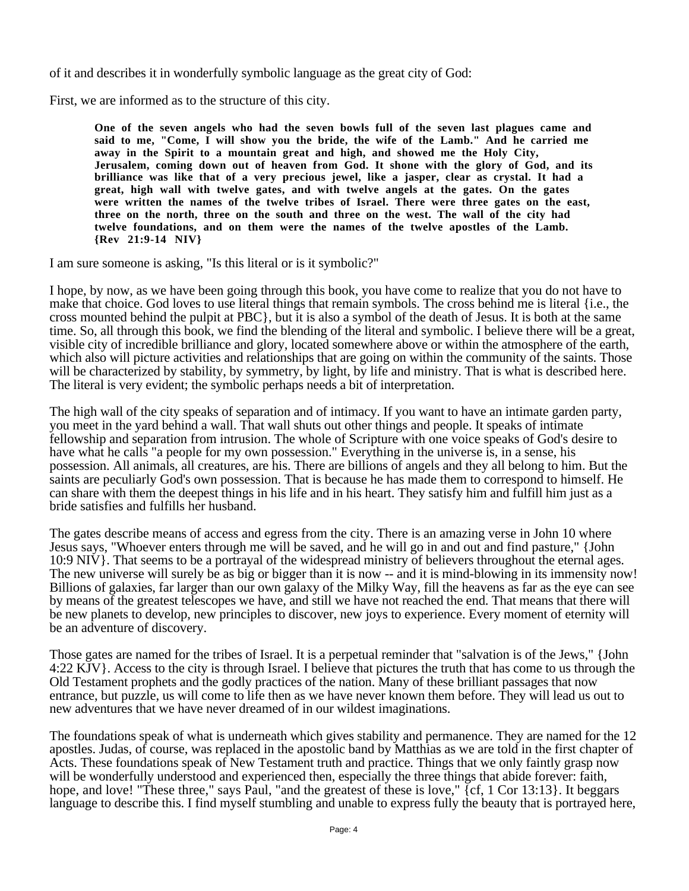of it and describes it in wonderfully symbolic language as the great city of God:

First, we are informed as to the structure of this city.

**One of the seven angels who had the seven bowls full of the seven last plagues came and said to me, "Come, I will show you the bride, the wife of the Lamb." And he carried me away in the Spirit to a mountain great and high, and showed me the Holy City, Jerusalem, coming down out of heaven from God. It shone with the glory of God, and its brilliance was like that of a very precious jewel, like a jasper, clear as crystal. It had a great, high wall with twelve gates, and with twelve angels at the gates. On the gates were written the names of the twelve tribes of Israel. There were three gates on the east, three on the north, three on the south and three on the west. The wall of the city had twelve foundations, and on them were the names of the twelve apostles of the Lamb. {Rev 21:9-14 NIV}**

I am sure someone is asking, "Is this literal or is it symbolic?"

I hope, by now, as we have been going through this book, you have come to realize that you do not have to make that choice. God loves to use literal things that remain symbols. The cross behind me is literal {i.e., the cross mounted behind the pulpit at PBC}, but it is also a symbol of the death of Jesus. It is both at the same time. So, all through this book, we find the blending of the literal and symbolic. I believe there will be a great, visible city of incredible brilliance and glory, located somewhere above or within the atmosphere of the earth, which also will picture activities and relationships that are going on within the community of the saints. Those will be characterized by stability, by symmetry, by light, by life and ministry. That is what is described here. The literal is very evident; the symbolic perhaps needs a bit of interpretation.

The high wall of the city speaks of separation and of intimacy. If you want to have an intimate garden party, you meet in the yard behind a wall. That wall shuts out other things and people. It speaks of intimate fellowship and separation from intrusion. The whole of Scripture with one voice speaks of God's desire to have what he calls "a people for my own possession." Everything in the universe is, in a sense, his possession. All animals, all creatures, are his. There are billions of angels and they all belong to him. But the saints are peculiarly God's own possession. That is because he has made them to correspond to himself. He can share with them the deepest things in his life and in his heart. They satisfy him and fulfill him just as a bride satisfies and fulfills her husband.

The gates describe means of access and egress from the city. There is an amazing verse in John 10 where Jesus says, "Whoever enters through me will be saved, and he will go in and out and find pasture," {John 10:9 NIV}. That seems to be a portrayal of the widespread ministry of believers throughout the eternal ages. The new universe will surely be as big or bigger than it is now -- and it is mind-blowing in its immensity now! Billions of galaxies, far larger than our own galaxy of the Milky Way, fill the heavens as far as the eye can see by means of the greatest telescopes we have, and still we have not reached the end. That means that there will be new planets to develop, new principles to discover, new joys to experience. Every moment of eternity will be an adventure of discovery.

Those gates are named for the tribes of Israel. It is a perpetual reminder that "salvation is of the Jews," {John 4:22 KJV}. Access to the city is through Israel. I believe that pictures the truth that has come to us through the Old Testament prophets and the godly practices of the nation. Many of these brilliant passages that now entrance, but puzzle, us will come to life then as we have never known them before. They will lead us out to new adventures that we have never dreamed of in our wildest imaginations.

The foundations speak of what is underneath which gives stability and permanence. They are named for the 12 apostles. Judas, of course, was replaced in the apostolic band by Matthias as we are told in the first chapter of Acts. These foundations speak of New Testament truth and practice. Things that we only faintly grasp now will be wonderfully understood and experienced then, especially the three things that abide forever: faith, hope, and love! "These three," says Paul, "and the greatest of these is love," {cf, 1 Cor 13:13}. It beggars language to describe this. I find myself stumbling and unable to express fully the beauty that is portrayed here,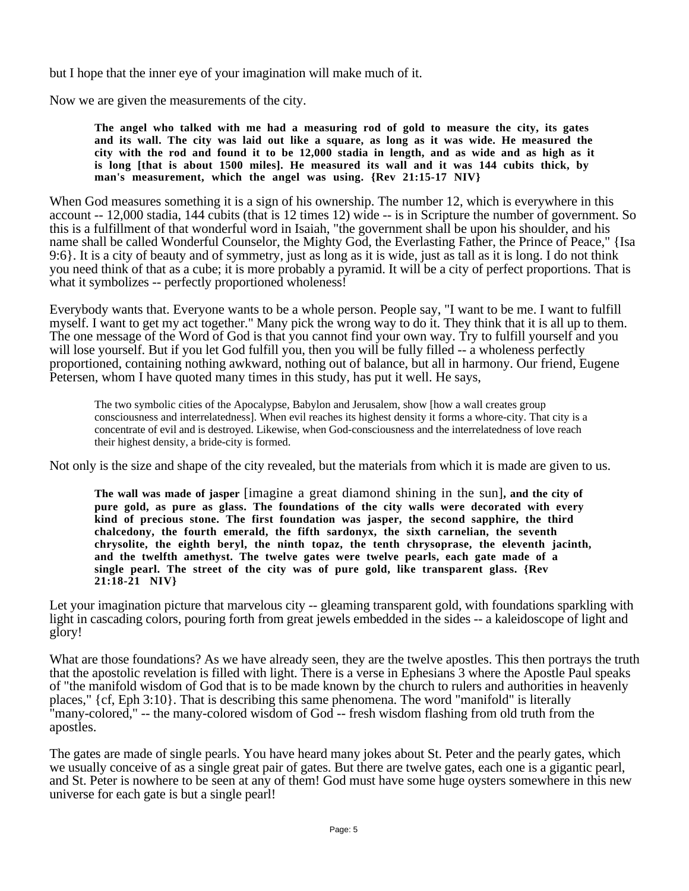but I hope that the inner eye of your imagination will make much of it.

Now we are given the measurements of the city.

**The angel who talked with me had a measuring rod of gold to measure the city, its gates and its wall. The city was laid out like a square, as long as it was wide. He measured the city with the rod and found it to be 12,000 stadia in length, and as wide and as high as it is long [that is about 1500 miles]. He measured its wall and it was 144 cubits thick, by man's measurement, which the angel was using. {Rev 21:15-17 NIV}**

When God measures something it is a sign of his ownership. The number 12, which is everywhere in this account -- 12,000 stadia, 144 cubits (that is 12 times 12) wide -- is in Scripture the number of government. So this is a fulfillment of that wonderful word in Isaiah, "the government shall be upon his shoulder, and his name shall be called Wonderful Counselor, the Mighty God, the Everlasting Father, the Prince of Peace," {Isa 9:6}. It is a city of beauty and of symmetry, just as long as it is wide, just as tall as it is long. I do not think you need think of that as a cube; it is more probably a pyramid. It will be a city of perfect proportions. That is what it symbolizes -- perfectly proportioned wholeness!

Everybody wants that. Everyone wants to be a whole person. People say, "I want to be me. I want to fulfill myself. I want to get my act together." Many pick the wrong way to do it. They think that it is all up to them. The one message of the Word of God is that you cannot find your own way. Try to fulfill yourself and you will lose yourself. But if you let God fulfill you, then you will be fully filled -- a wholeness perfectly proportioned, containing nothing awkward, nothing out of balance, but all in harmony. Our friend, Eugene Petersen, whom I have quoted many times in this study, has put it well. He says,

The two symbolic cities of the Apocalypse, Babylon and Jerusalem, show [how a wall creates group consciousness and interrelatedness]. When evil reaches its highest density it forms a whore-city. That city is a concentrate of evil and is destroyed. Likewise, when God-consciousness and the interrelatedness of love reach their highest density, a bride-city is formed.

Not only is the size and shape of the city revealed, but the materials from which it is made are given to us.

**The wall was made of jasper** [imagine a great diamond shining in the sun]**, and the city of pure gold, as pure as glass. The foundations of the city walls were decorated with every kind of precious stone. The first foundation was jasper, the second sapphire, the third chalcedony, the fourth emerald, the fifth sardonyx, the sixth carnelian, the seventh chrysolite, the eighth beryl, the ninth topaz, the tenth chrysoprase, the eleventh jacinth, and the twelfth amethyst. The twelve gates were twelve pearls, each gate made of a single pearl. The street of the city was of pure gold, like transparent glass. {Rev 21:18-21 NIV}**

Let your imagination picture that marvelous city -- gleaming transparent gold, with foundations sparkling with light in cascading colors, pouring forth from great jewels embedded in the sides -- a kaleidoscope of light and glory!

What are those foundations? As we have already seen, they are the twelve apostles. This then portrays the truth that the apostolic revelation is filled with light. There is a verse in Ephesians 3 where the Apostle Paul speaks of "the manifold wisdom of God that is to be made known by the church to rulers and authorities in heavenly places," {cf, Eph 3:10}. That is describing this same phenomena. The word "manifold" is literally "many-colored," -- the many-colored wisdom of God -- fresh wisdom flashing from old truth from the apostles.

The gates are made of single pearls. You have heard many jokes about St. Peter and the pearly gates, which we usually conceive of as a single great pair of gates. But there are twelve gates, each one is a gigantic pearl, and St. Peter is nowhere to be seen at any of them! God must have some huge oysters somewhere in this new universe for each gate is but a single pearl!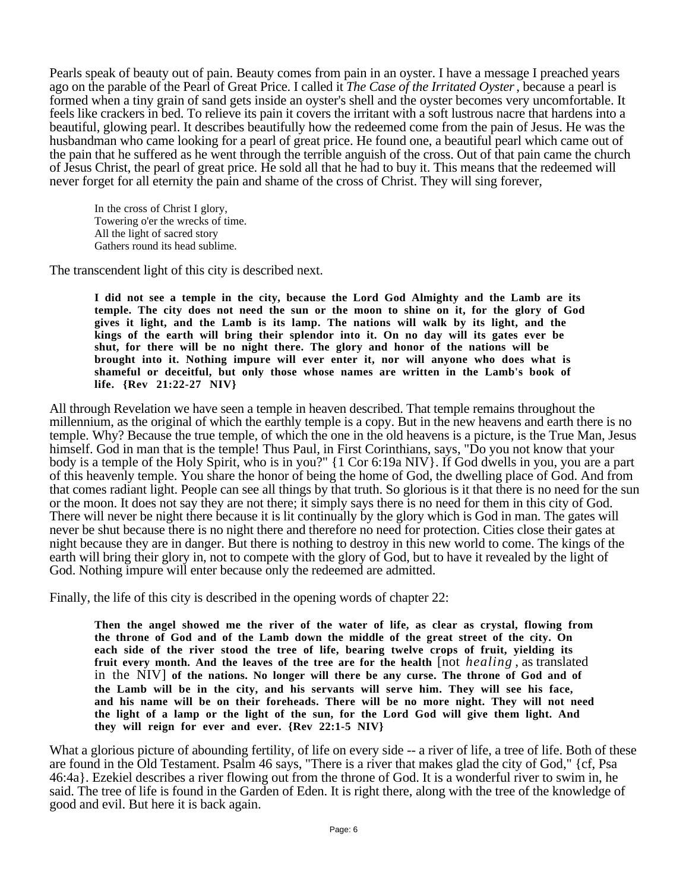Pearls speak of beauty out of pain. Beauty comes from pain in an oyster. I have a message I preached years ago on the parable of the Pearl of Great Price. I called it *The Case of the Irritated Oyster*, because a pearl is formed when a tiny grain of sand gets inside an oyster's shell and the oyster becomes very uncomfortable. It feels like crackers in bed. To relieve its pain it covers the irritant with a soft lustrous nacre that hardens into a beautiful, glowing pearl. It describes beautifully how the redeemed come from the pain of Jesus. He was the husbandman who came looking for a pearl of great price. He found one, a beautiful pearl which came out of the pain that he suffered as he went through the terrible anguish of the cross. Out of that pain came the church of Jesus Christ, the pearl of great price. He sold all that he had to buy it. This means that the redeemed will never forget for all eternity the pain and shame of the cross of Christ. They will sing forever,

In the cross of Christ I glory, Towering o'er the wrecks of time. All the light of sacred story Gathers round its head sublime.

The transcendent light of this city is described next.

**I did not see a temple in the city, because the Lord God Almighty and the Lamb are its temple. The city does not need the sun or the moon to shine on it, for the glory of God gives it light, and the Lamb is its lamp. The nations will walk by its light, and the kings of the earth will bring their splendor into it. On no day will its gates ever be shut, for there will be no night there. The glory and honor of the nations will be brought into it. Nothing impure will ever enter it, nor will anyone who does what is shameful or deceitful, but only those whose names are written in the Lamb's book of life. {Rev 21:22-27 NIV}**

All through Revelation we have seen a temple in heaven described. That temple remains throughout the millennium, as the original of which the earthly temple is a copy. But in the new heavens and earth there is no temple. Why? Because the true temple, of which the one in the old heavens is a picture, is the True Man, Jesus himself. God in man that is the temple! Thus Paul, in First Corinthians, says, "Do you not know that your body is a temple of the Holy Spirit, who is in you?" {1 Cor 6:19a NIV}. If God dwells in you, you are a part of this heavenly temple. You share the honor of being the home of God, the dwelling place of God. And from that comes radiant light. People can see all things by that truth. So glorious is it that there is no need for the sun or the moon. It does not say they are not there; it simply says there is no need for them in this city of God. There will never be night there because it is lit continually by the glory which is God in man. The gates will never be shut because there is no night there and therefore no need for protection. Cities close their gates at night because they are in danger. But there is nothing to destroy in this new world to come. The kings of the earth will bring their glory in, not to compete with the glory of God, but to have it revealed by the light of God. Nothing impure will enter because only the redeemed are admitted.

Finally, the life of this city is described in the opening words of chapter 22:

**Then the angel showed me the river of the water of life, as clear as crystal, flowing from the throne of God and of the Lamb down the middle of the great street of the city. On each side of the river stood the tree of life, bearing twelve crops of fruit, yielding its fruit every month. And the leaves of the tree are for the health** [not *healing* , as translated in the NIV] **of the nations. No longer will there be any curse. The throne of God and of the Lamb will be in the city, and his servants will serve him. They will see his face, and his name will be on their foreheads. There will be no more night. They will not need the light of a lamp or the light of the sun, for the Lord God will give them light. And they will reign for ever and ever. {Rev 22:1-5 NIV}**

What a glorious picture of abounding fertility, of life on every side -- a river of life, a tree of life. Both of these are found in the Old Testament. Psalm 46 says, "There is a river that makes glad the city of God," {cf, Psa 46:4a}. Ezekiel describes a river flowing out from the throne of God. It is a wonderful river to swim in, he said. The tree of life is found in the Garden of Eden. It is right there, along with the tree of the knowledge of good and evil. But here it is back again.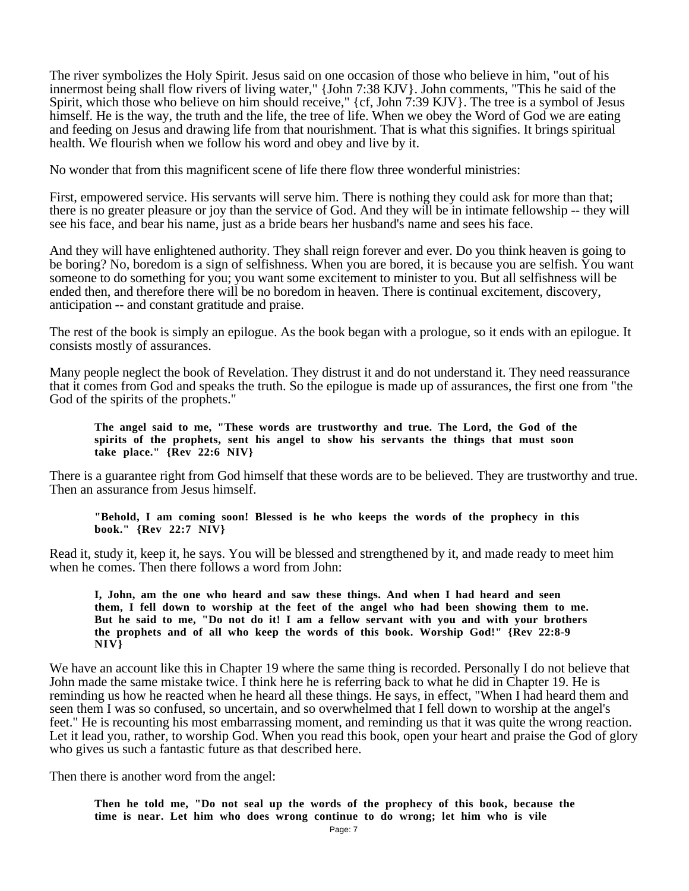The river symbolizes the Holy Spirit. Jesus said on one occasion of those who believe in him, "out of his innermost being shall flow rivers of living water," {John 7:38 KJV}. John comments, "This he said of the Spirit, which those who believe on him should receive," {cf, John 7:39 KJV}. The tree is a symbol of Jesus himself. He is the way, the truth and the life, the tree of life. When we obey the Word of God we are eating and feeding on Jesus and drawing life from that nourishment. That is what this signifies. It brings spiritual health. We flourish when we follow his word and obey and live by it.

No wonder that from this magnificent scene of life there flow three wonderful ministries:

First, empowered service. His servants will serve him. There is nothing they could ask for more than that; there is no greater pleasure or joy than the service of God. And they will be in intimate fellowship -- they will see his face, and bear his name, just as a bride bears her husband's name and sees his face.

And they will have enlightened authority. They shall reign forever and ever. Do you think heaven is going to be boring? No, boredom is a sign of selfishness. When you are bored, it is because you are selfish. You want someone to do something for you; you want some excitement to minister to you. But all selfishness will be ended then, and therefore there will be no boredom in heaven. There is continual excitement, discovery, anticipation -- and constant gratitude and praise.

The rest of the book is simply an epilogue. As the book began with a prologue, so it ends with an epilogue. It consists mostly of assurances.

Many people neglect the book of Revelation. They distrust it and do not understand it. They need reassurance that it comes from God and speaks the truth. So the epilogue is made up of assurances, the first one from "the God of the spirits of the prophets."

**The angel said to me, "These words are trustworthy and true. The Lord, the God of the spirits of the prophets, sent his angel to show his servants the things that must soon take place." {Rev 22:6 NIV}**

There is a guarantee right from God himself that these words are to be believed. They are trustworthy and true. Then an assurance from Jesus himself.

**"Behold, I am coming soon! Blessed is he who keeps the words of the prophecy in this book." {Rev 22:7 NIV}**

Read it, study it, keep it, he says. You will be blessed and strengthened by it, and made ready to meet him when he comes. Then there follows a word from John:

**I, John, am the one who heard and saw these things. And when I had heard and seen them, I fell down to worship at the feet of the angel who had been showing them to me. But he said to me, "Do not do it! I am a fellow servant with you and with your brothers the prophets and of all who keep the words of this book. Worship God!" {Rev 22:8-9 NIV}**

We have an account like this in Chapter 19 where the same thing is recorded. Personally I do not believe that John made the same mistake twice. I think here he is referring back to what he did in Chapter 19. He is reminding us how he reacted when he heard all these things. He says, in effect, "When I had heard them and seen them I was so confused, so uncertain, and so overwhelmed that I fell down to worship at the angel's feet." He is recounting his most embarrassing moment, and reminding us that it was quite the wrong reaction. Let it lead you, rather, to worship God. When you read this book, open your heart and praise the God of glory who gives us such a fantastic future as that described here.

Then there is another word from the angel:

**Then he told me, "Do not seal up the words of the prophecy of this book, because the time is near. Let him who does wrong continue to do wrong; let him who is vile**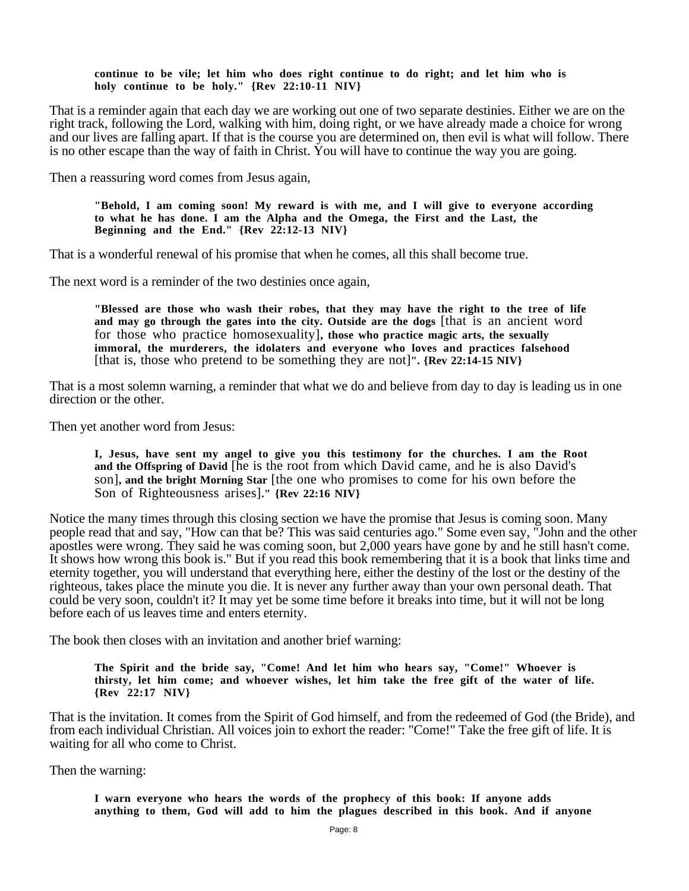## **continue to be vile; let him who does right continue to do right; and let him who is holy continue to be holy." {Rev 22:10-11 NIV}**

That is a reminder again that each day we are working out one of two separate destinies. Either we are on the right track, following the Lord, walking with him, doing right, or we have already made a choice for wrong and our lives are falling apart. If that is the course you are determined on, then evil is what will follow. There is no other escape than the way of faith in Christ. You will have to continue the way you are going.

Then a reassuring word comes from Jesus again,

**"Behold, I am coming soon! My reward is with me, and I will give to everyone according to what he has done. I am the Alpha and the Omega, the First and the Last, the Beginning and the End." {Rev 22:12-13 NIV}**

That is a wonderful renewal of his promise that when he comes, all this shall become true.

The next word is a reminder of the two destinies once again,

**"Blessed are those who wash their robes, that they may have the right to the tree of life and may go through the gates into the city. Outside are the dogs** [that is an ancient word for those who practice homosexuality]**, those who practice magic arts, the sexually immoral, the murderers, the idolaters and everyone who loves and practices falsehood** [that is, those who pretend to be something they are not]**". {Rev 22:14-15 NIV}**

That is a most solemn warning, a reminder that what we do and believe from day to day is leading us in one direction or the other.

Then yet another word from Jesus:

**I, Jesus, have sent my angel to give you this testimony for the churches. I am the Root and the Offspring of David** [he is the root from which David came, and he is also David's son]**, and the bright Morning Star** [the one who promises to come for his own before the Son of Righteousness arises]**." {Rev 22:16 NIV}**

Notice the many times through this closing section we have the promise that Jesus is coming soon. Many people read that and say, "How can that be? This was said centuries ago." Some even say, "John and the other apostles were wrong. They said he was coming soon, but 2,000 years have gone by and he still hasn't come. It shows how wrong this book is." But if you read this book remembering that it is a book that links time and eternity together, you will understand that everything here, either the destiny of the lost or the destiny of the righteous, takes place the minute you die. It is never any further away than your own personal death. That could be very soon, couldn't it? It may yet be some time before it breaks into time, but it will not be long before each of us leaves time and enters eternity.

The book then closes with an invitation and another brief warning:

**The Spirit and the bride say, "Come! And let him who hears say, "Come!" Whoever is thirsty, let him come; and whoever wishes, let him take the free gift of the water of life. {Rev 22:17 NIV}**

That is the invitation. It comes from the Spirit of God himself, and from the redeemed of God (the Bride), and from each individual Christian. All voices join to exhort the reader: "Come!" Take the free gift of life. It is waiting for all who come to Christ.

Then the warning:

**I warn everyone who hears the words of the prophecy of this book: If anyone adds anything to them, God will add to him the plagues described in this book. And if anyone**